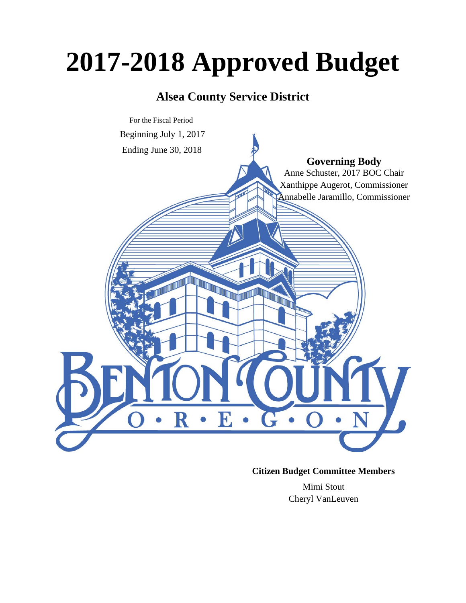# **2017-2018 Approved Budget**

# **Alsea County Service District**



## **Citizen Budget Committee Members**

Mimi Stout Cheryl VanLeuven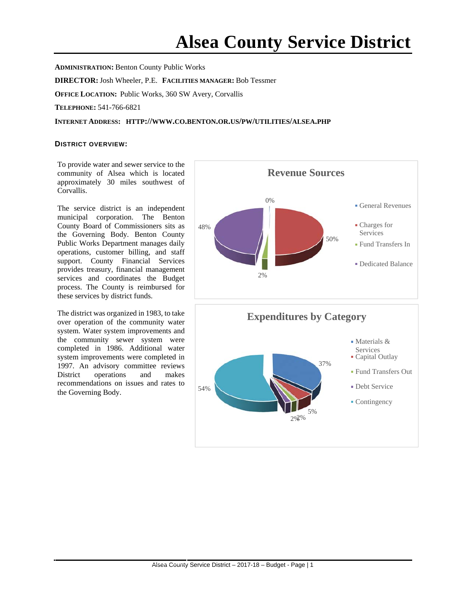**ADMINISTRATION:** Benton County Public Works **DIRECTOR:**Josh Wheeler, P.E. **FACILITIES MANAGER:** Bob Tessmer **OFFICE LOCATION:** Public Works, 360 SW Avery, Corvallis **TELEPHONE:** 541-766-6821

## **INTERNET ADDRESS: HTTP://WWW.CO.BENTON.OR.US/PW/UTILITIES/ALSEA.PHP**

#### **DISTRICT OVERVIEW:**

To provide water and sewer service to the community of Alsea which is located approximately 30 miles southwest of Corvallis.

The service district is an independent municipal corporation. The Benton County Board of Commissioners sits as the Governing Body. Benton County Public Works Department manages daily operations, customer billing, and staff support. County Financial Services provides treasury, financial management services and coordinates the Budget process. The County is reimbursed for these services by district funds.

The district was organized in 1983, to take over operation of the community water system. Water system improvements and the community sewer system were completed in 1986. Additional water system improvements were completed in 1997. An advisory committee reviews District operations and makes recommendations on issues and rates to the Governing Body.



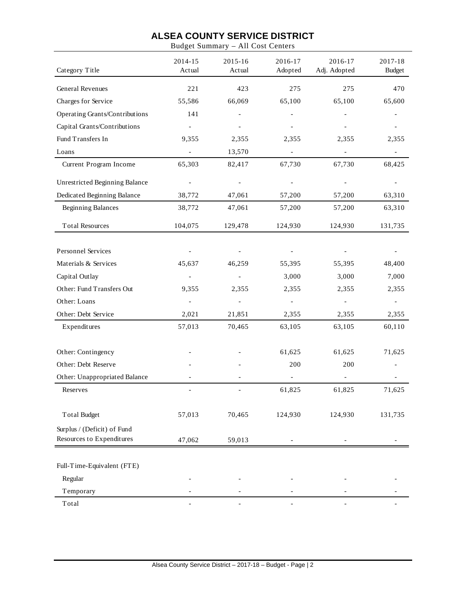Budget Summary – All Cost Centers

| Category Title                 | 2014-15<br>Actual        | 2015-16<br>Actual        | 2016-17<br>Adopted       | 2016-17<br>Adj. Adopted  | 2017-18<br><b>Budget</b> |
|--------------------------------|--------------------------|--------------------------|--------------------------|--------------------------|--------------------------|
| General Revenues               | 221                      | 423                      | 275                      | 275                      | 470                      |
| Charges for Service            | 55,586                   | 66,069                   | 65,100                   | 65,100                   | 65,600                   |
| Operating Grants/Contributions | 141                      | $\overline{\phantom{a}}$ |                          |                          |                          |
| Capital Grants/Contributions   |                          |                          |                          |                          |                          |
| Fund Transfers In              | 9,355                    | 2,355                    | 2,355                    | 2,355                    | 2,355                    |
| Loans                          | $\overline{\phantom{a}}$ | 13,570                   | $\overline{\phantom{a}}$ | $\qquad \qquad -$        |                          |
| Current Program Income         | 65,303                   | 82,417                   | 67,730                   | 67,730                   | 68,425                   |
| Unrestricted Beginning Balance |                          | $\overline{\phantom{a}}$ |                          |                          |                          |
| Dedicated Beginning Balance    | 38,772                   | 47,061                   | 57,200                   | 57,200                   | 63,310                   |
| <b>Beginning Balances</b>      | 38,772                   | 47,061                   | 57,200                   | 57,200                   | 63,310                   |
| <b>Total Resources</b>         | 104,075                  | 129,478                  | 124,930                  | 124,930                  | 131,735                  |
|                                |                          |                          |                          |                          |                          |
| Personnel Services             | $\qquad \qquad -$        | $\overline{\phantom{a}}$ | $\overline{\phantom{a}}$ | $\overline{\phantom{0}}$ |                          |
| Materials & Services           | 45,637                   | 46,259                   | 55,395                   | 55,395                   | 48,400                   |
| Capital Outlay                 | $\overline{\phantom{a}}$ |                          | 3,000                    | 3,000                    | 7,000                    |
| Other: Fund Transfers Out      | 9,355                    | 2,355                    | 2,355                    | 2,355                    | 2,355                    |
| Other: Loans                   | $\overline{a}$           | $\overline{\phantom{a}}$ | $\overline{\phantom{a}}$ | $\qquad \qquad -$        | $\overline{\phantom{a}}$ |
| Other: Debt Service            | 2,021                    | 21,851                   | 2,355                    | 2,355                    | 2,355                    |
| Expenditures                   | 57,013                   | 70,465                   | 63,105                   | 63,105                   | 60,110                   |
| Other: Contingency             |                          |                          | 61,625                   | 61,625                   | 71,625                   |
| Other: Debt Reserve            |                          |                          | 200                      | 200                      |                          |
| Other: Unappropriated Balance  |                          |                          |                          | $\overline{\phantom{0}}$ |                          |
| Reserves                       |                          |                          | 61,825                   | 61,825                   | 71,625                   |
| Total Budget                   | 57,013                   | 70,465                   | 124,930                  | 124,930                  | 131,735                  |
| Surplus / (Deficit) of Fund    |                          |                          |                          |                          |                          |
| Resources to Expenditures      | 47,062                   | 59,013                   |                          |                          |                          |
| Full-Time-Equivalent (FTE)     |                          |                          |                          |                          |                          |
| Regular                        |                          |                          |                          |                          |                          |
| Temporary                      |                          |                          |                          |                          |                          |
| Total                          |                          |                          |                          |                          |                          |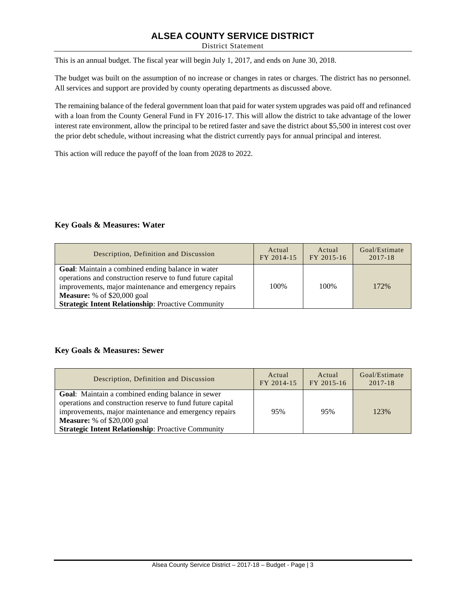District Statement

This is an annual budget. The fiscal year will begin July 1, 2017, and ends on June 30, 2018.

The budget was built on the assumption of no increase or changes in rates or charges. The district has no personnel. All services and support are provided by county operating departments as discussed above.

The remaining balance of the federal government loan that paid for water system upgrades was paid off and refinanced with a loan from the County General Fund in FY 2016-17. This will allow the district to take advantage of the lower interest rate environment, allow the principal to be retired faster and save the district about \$5,500 in interest cost over the prior debt schedule, without increasing what the district currently pays for annual principal and interest.

This action will reduce the payoff of the loan from 2028 to 2022.

## **Key Goals & Measures: Water**

| Description, Definition and Discussion                                                                                                                                                                                                                                      | Actual     | Actual     | Goal/Estimate |
|-----------------------------------------------------------------------------------------------------------------------------------------------------------------------------------------------------------------------------------------------------------------------------|------------|------------|---------------|
|                                                                                                                                                                                                                                                                             | FY 2014-15 | FY 2015-16 | 2017-18       |
| Goal: Maintain a combined ending balance in water<br>operations and construction reserve to fund future capital<br>improvements, major maintenance and emergency repairs<br><b>Measure:</b> % of \$20,000 goal<br><b>Strategic Intent Relationship: Proactive Community</b> | 100%       | 100\%      | 172%          |

### **Key Goals & Measures: Sewer**

| Description, Definition and Discussion                                                                                                                                                                                                                                      | Actual     | Actual     | Goal/Estimate |
|-----------------------------------------------------------------------------------------------------------------------------------------------------------------------------------------------------------------------------------------------------------------------------|------------|------------|---------------|
|                                                                                                                                                                                                                                                                             | FY 2014-15 | FY 2015-16 | $2017 - 18$   |
| Goal: Maintain a combined ending balance in sewer<br>operations and construction reserve to fund future capital<br>improvements, major maintenance and emergency repairs<br><b>Measure:</b> % of \$20,000 goal<br><b>Strategic Intent Relationship: Proactive Community</b> | 95%        | 95%        | 123%          |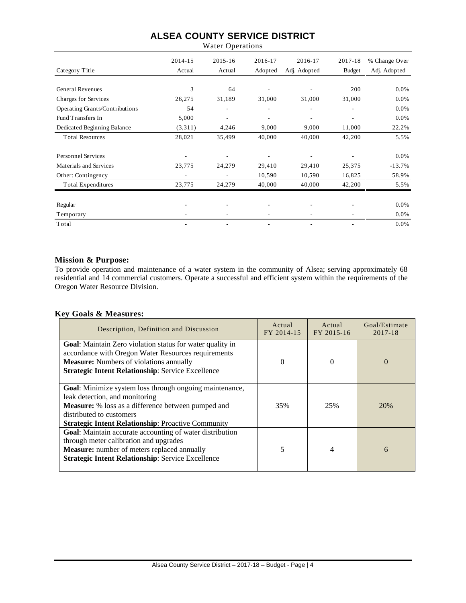Water Operations

|                                | 2014-15 | $2015 - 16$              | 2016-17 | 2016-17      | 2017-18                  | % Change Over |
|--------------------------------|---------|--------------------------|---------|--------------|--------------------------|---------------|
| Category Title                 | Actual  | Actual                   | Adopted | Adj. Adopted | <b>Budget</b>            | Adj. Adopted  |
|                                |         |                          |         |              |                          |               |
| <b>General Revenues</b>        | 3       | 64                       |         |              | 200                      | 0.0%          |
| Charges for Services           | 26,275  | 31,189                   | 31,000  | 31,000       | 31,000                   | 0.0%          |
| Operating Grants/Contributions | 54      | ÷                        |         | ۰            | $\overline{\phantom{a}}$ | 0.0%          |
| Fund Transfers In              | 5,000   | ٠                        | ۰       | ٠            | $\overline{\phantom{a}}$ | 0.0%          |
| Dedicated Beginning Balance    | (3,311) | 4,246                    | 9,000   | 9,000        | 11,000                   | 22.2%         |
| <b>Total Resources</b>         | 28,021  | 35,499                   | 40,000  | 40,000       | 42,200                   | 5.5%          |
| <b>Personnel Services</b>      |         |                          |         |              |                          | 0.0%          |
| Materials and Services         | 23,775  | 24,279                   | 29,410  | 29,410       | 25,375                   | $-13.7%$      |
| Other: Contingency             | ۰       | $\overline{\phantom{a}}$ | 10,590  | 10,590       | 16,825                   | 58.9%         |
| Total Expenditures             | 23,775  | 24,279                   | 40,000  | 40,000       | 42,200                   | 5.5%          |
| Regular                        |         |                          |         |              |                          | 0.0%          |
| Temporary                      |         |                          |         |              |                          | $0.0\%$       |
| Total                          |         |                          |         |              |                          | 0.0%          |

## **Mission & Purpose:**

To provide operation and maintenance of a water system in the community of Alsea; serving approximately 68 residential and 14 commercial customers. Operate a successful and efficient system within the requirements of the Oregon Water Resource Division.

## **Key Goals & Measures:**

| Description, Definition and Discussion                                                                                                                                                                                                          | Actual<br>FY 2014-15 | Actual<br>FY 2015-16 | Goal/Estimate<br>2017-18 |
|-------------------------------------------------------------------------------------------------------------------------------------------------------------------------------------------------------------------------------------------------|----------------------|----------------------|--------------------------|
| <b>Goal:</b> Maintain Zero violation status for water quality in<br>accordance with Oregon Water Resources requirements<br><b>Measure:</b> Numbers of violations annually<br><b>Strategic Intent Relationship: Service Excellence</b>           | 0                    |                      | $\Omega$                 |
| Goal: Minimize system loss through ongoing maintenance,<br>leak detection, and monitoring<br><b>Measure:</b> % loss as a difference between pumped and<br>distributed to customers<br><b>Strategic Intent Relationship: Proactive Community</b> | 35%                  | 25%                  | 20%                      |
| Goal: Maintain accurate accounting of water distribution<br>through meter calibration and upgrades<br>Measure: number of meters replaced annually<br><b>Strategic Intent Relationship: Service Excellence</b>                                   | 5                    | 4                    | 6                        |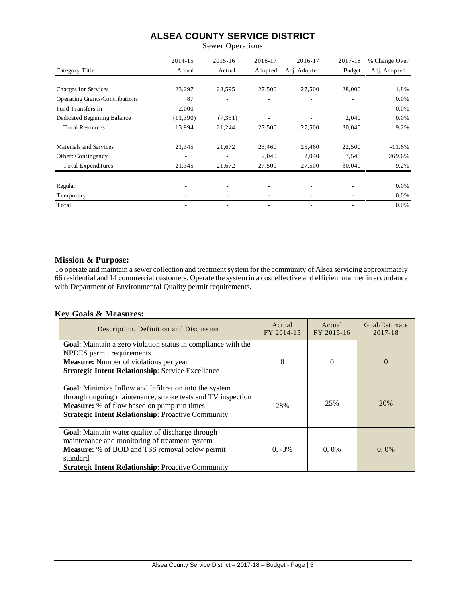Sewer Operations

|                                | 2014-15  | $2015 - 16$              | 2016-17 | 2016-17                  | 2017-18                  | % Change Over |
|--------------------------------|----------|--------------------------|---------|--------------------------|--------------------------|---------------|
| Category Title                 | Actual   | Actual                   | Adopted | Adj. Adopted             | <b>Budget</b>            | Adj. Adopted  |
|                                |          |                          |         |                          |                          |               |
| Charges for Services           | 23,297   | 28,595                   | 27,500  | 27,500                   | 28,000                   | 1.8%          |
| Operating Grants/Contributions | 87       | ۰                        | ٠       | ٠                        | ٠                        | 0.0%          |
| Fund Transfers In              | 2,000    | $\overline{\phantom{a}}$ |         | ٠                        | $\overline{\phantom{a}}$ | 0.0%          |
| Dedicated Beginning Balance    | (11,390) | (7, 351)                 |         |                          | 2,040                    | $0.0\%$       |
| <b>Total Resources</b>         | 13,994   | 21,244                   | 27,500  | 27,500                   | 30,040                   | 9.2%          |
| Materials and Services         | 21,345   | 21,672                   | 25,460  | 25,460                   | 22,500                   | $-11.6%$      |
| Other: Contingency             | ٠        | $\overline{\phantom{m}}$ | 2,040   | 2,040                    | 7,540                    | 269.6%        |
| Total Expenditures             | 21,345   | 21,672                   | 27,500  | 27,500                   | 30,040                   | 9.2%          |
| Regular                        | ۰        | $\overline{\phantom{a}}$ | ٠       | $\overline{\phantom{a}}$ | $\overline{\phantom{a}}$ | 0.0%          |
| Temporary                      |          | ۰                        |         |                          |                          | 0.0%          |
| Total                          | ٠        |                          |         |                          |                          | 0.0%          |

## **Mission & Purpose:**

To operate and maintain a sewer collection and treatment system for the community of Alsea servicing approximately 66 residential and 14 commercial customers. Operate the system in a cost effective and efficient manner in accordance with Department of Environmental Quality permit requirements.

## **Key Goals & Measures:**

| Description, Definition and Discussion                                                                                                                                                                                                        | Actual<br>FY 2014-15 | Actual<br>FY 2015-16 | Goal/Estimate<br>2017-18 |
|-----------------------------------------------------------------------------------------------------------------------------------------------------------------------------------------------------------------------------------------------|----------------------|----------------------|--------------------------|
| Goal: Maintain a zero violation status in compliance with the<br>NPDES permit requirements<br><b>Measure:</b> Number of violations per year<br><b>Strategic Intent Relationship: Service Excellence</b>                                       | $\Omega$             | $\theta$             | $\Omega$                 |
| <b>Goal:</b> Minimize Inflow and Infiltration into the system<br>through ongoing maintenance, smoke tests and TV inspection<br><b>Measure:</b> % of flow based on pump run times<br><b>Strategic Intent Relationship: Proactive Community</b> | 28%                  | 25%                  | 20%                      |
| Goal: Maintain water quality of discharge through<br>maintenance and monitoring of treatment system<br><b>Measure:</b> % of BOD and TSS removal below permit<br>standard<br><b>Strategic Intent Relationship: Proactive Community</b>         | $0, -3\%$            | $0.0\%$              | 0,0%                     |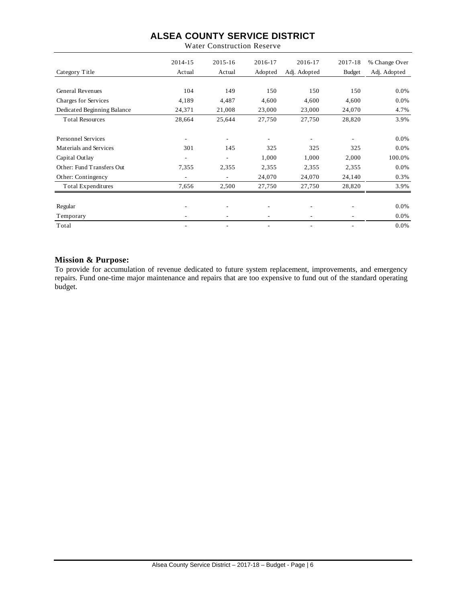|                             | 2014-15        | $2015 - 16$              | 2016-17 | 2016-17      | 2017-18       | % Change Over |
|-----------------------------|----------------|--------------------------|---------|--------------|---------------|---------------|
| Category Title              | Actual         | Actual                   | Adopted | Adj. Adopted | <b>Budget</b> | Adj. Adopted  |
|                             |                |                          |         |              |               |               |
| <b>General Revenues</b>     | 104            | 149                      | 150     | 150          | 150           | $0.0\%$       |
| Charges for Services        | 4,189          | 4,487                    | 4,600   | 4,600        | 4,600         | $0.0\%$       |
| Dedicated Beginning Balance | 24,371         | 21,008                   | 23,000  | 23,000       | 24,070        | 4.7%          |
| <b>Total Resources</b>      | 28,664         | 25,644                   | 27,750  | 27,750       | 28,820        | 3.9%          |
|                             |                |                          |         |              |               |               |
| <b>Personnel Services</b>   | -              | $\overline{\phantom{a}}$ | ۰       | -            | ٠             | $0.0\%$       |
| Materials and Services      | 301            | 145                      | 325     | 325          | 325           | $0.0\%$       |
| Capital Outlay              | ٠              | $\overline{\phantom{a}}$ | 1,000   | 1,000        | 2,000         | 100.0%        |
| Other: Fund Transfers Out   | 7,355          | 2,355                    | 2,355   | 2,355        | 2,355         | $0.0\%$       |
| Other: Contingency          | $\overline{a}$ | $\overline{\phantom{a}}$ | 24,070  | 24,070       | 24,140        | 0.3%          |
| Total Expenditures          | 7,656          | 2,500                    | 27,750  | 27,750       | 28,820        | 3.9%          |
|                             |                |                          |         |              |               |               |
| Regular                     |                |                          |         |              |               | 0.0%          |
| Temporary                   |                |                          |         |              |               | 0.0%          |
| Total                       |                |                          |         |              |               | 0.0%          |

Water Construction Reserve

## **Mission & Purpose:**

To provide for accumulation of revenue dedicated to future system replacement, improvements, and emergency repairs. Fund one-time major maintenance and repairs that are too expensive to fund out of the standard operating budget.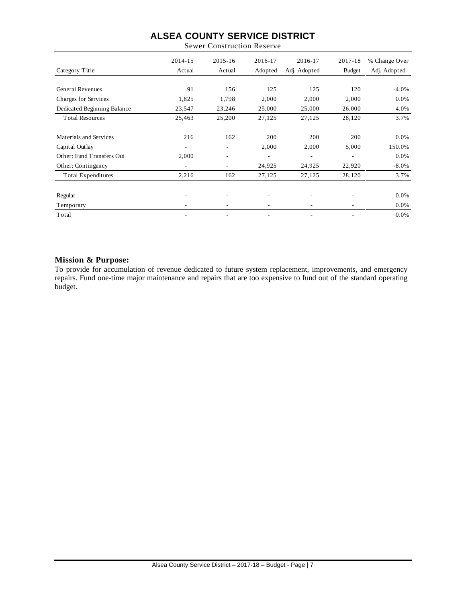Sewer Construction Reserve

|                             | 2014-15 | $2015 - 16$              | 2016-17 | 2016-17                  | 2017-18                  | % Change Over |
|-----------------------------|---------|--------------------------|---------|--------------------------|--------------------------|---------------|
| Category Title              | Actual  | Actual                   | Adopted | Adj. Adopted             | <b>Budget</b>            | Adj. Adopted  |
|                             |         |                          |         |                          |                          |               |
| <b>General Revenues</b>     | 91      | 156                      | 125     | 125                      | 120                      | $-4.0%$       |
| Charges for Services        | 1,825   | 1,798                    | 2,000   | 2,000                    | 2,000                    | $0.0\%$       |
| Dedicated Beginning Balance | 23,547  | 23,246                   | 25,000  | 25,000                   | 26,000                   | 4.0%          |
| <b>Total Resources</b>      | 25,463  | 25,200                   | 27,125  | 27,125                   | 28,120                   | 3.7%          |
|                             |         |                          |         |                          |                          |               |
| Materials and Services      | 216     | 162                      | 200     | 200                      | 200                      | 0.0%          |
| Capital Outlay              | ٠       | $\overline{\phantom{a}}$ | 2,000   | 2,000                    | 5,000                    | 150.0%        |
| Other: Fund Transfers Out   | 2,000   | ۰.                       | ۰       | $\overline{\phantom{a}}$ | $\overline{\phantom{a}}$ | 0.0%          |
| Other: Contingency          |         | ۰.                       | 24,925  | 24,925                   | 22,920                   | $-8.0\%$      |
| Total Expenditures          | 2,216   | 162                      | 27,125  | 27,125                   | 28,120                   | 3.7%          |
|                             |         |                          |         |                          |                          |               |
| Regular                     | ٠       | ٠                        | ۰       | $\overline{\phantom{a}}$ | ٠                        | 0.0%          |
| Temporary                   |         | $\overline{\phantom{a}}$ |         |                          |                          | 0.0%          |
| Total                       |         |                          |         |                          |                          | 0.0%          |

## **Mission & Purpose:**

To provide for accumulation of revenue dedicated to future system replacement, improvements, and emergency repairs. Fund one-time major maintenance and repairs that are too expensive to fund out of the standard operating budget.